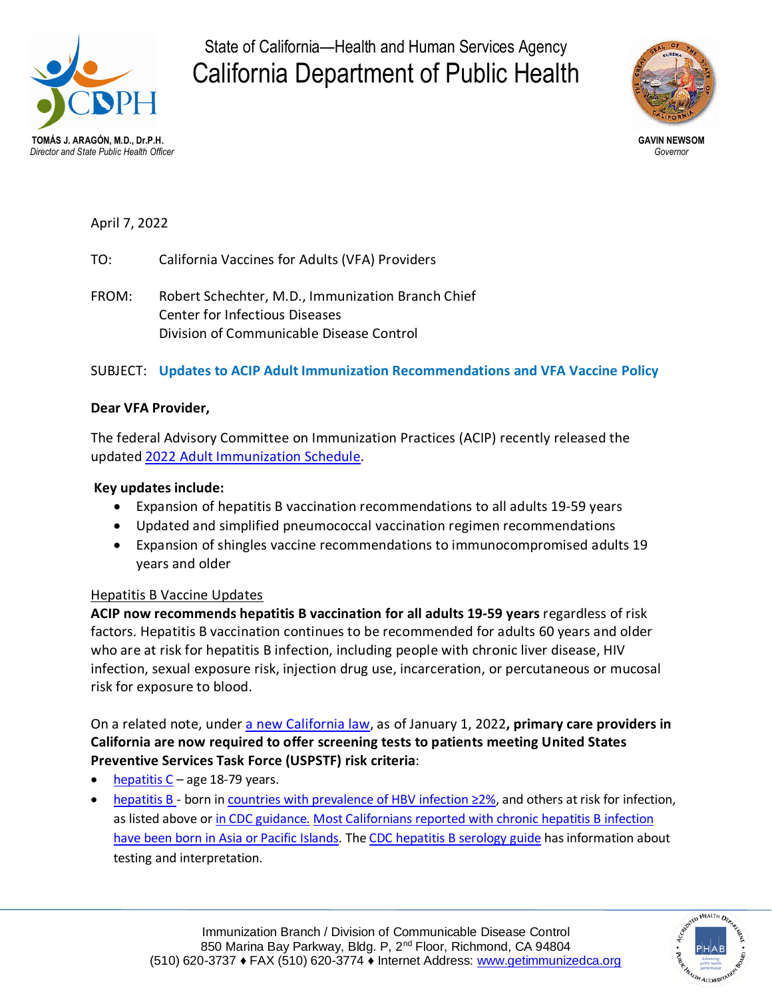

State of California—Health and Human Services Agency California Department of Public Health



April 7, 2022

TO: California Vaccines for Adults (VFA) Providers

FROM: Robert Schechter, M.D., Immunization Branch Chief Center for Infectious Diseases Division of Communicable Disease Control

# SUBJECT: **Updates to ACIP Adult Immunization Recommendations and VFA Vaccine Policy**

## **Dear VFA Provider,**

The federal Advisory Committee on Immunization Practices (ACIP) recently released the updated 2022 Adult [Immunization](https://www.cdc.gov/vaccines/schedules/hcp/imz/adult.html) Schedule.

## **Key updates include:**

- Expansion of hepatitis B vaccination recommendations to all adults 19-59 years
- Updated and simplified pneumococcal vaccination regimen recommendations
- Expansion of shingles vaccine recommendations to immunocompromised adults 19 years and older

## Hepatitis B Vaccine Updates

**ACIP now recommends hepatitis B vaccination for all adults 19-59 years** regardless of risk factors. Hepatitis B vaccination continues to be recommended for adults 60 years and older who are at risk for hepatitis B infection, including people with chronic liver disease, HIV infection, sexual exposure risk, injection drug use, incarceration, or percutaneous or mucosal risk for exposure to blood.

On a related note, under a new [California](https://leginfo.legislature.ca.gov/faces/billTextClient.xhtml?bill_id=202120220AB789) law, as of January 1, 2022**, primary care providers in California are now required to offer screening tests to patients meeting United States Preventive Services Task Force (USPSTF) risk criteria**:

- [hepatitis](https://www.uspreventiveservicestaskforce.org/uspstf/recommendation/hepatitis-c-screening)  $C$  age 18-79 years.
- [hepatitis](https://www.uspreventiveservicestaskforce.org/uspstf/recommendation/hepatitis-b-virus-infection-screening) B born in countries with [prevalence](https://wwwnc.cdc.gov/travel/yellowbook/2020/travel-related-infectious-diseases/hepatitis-b#5182) of HBV infection ≥2%, and others at risk for infection, as listed above or in CDC [guidance.](https://www.cdc.gov/hepatitis/hbv/hbvfaq.htm#b5) Most [Californians](https://www.cdph.ca.gov/Programs/CID/DCDC/CDPH%20Document%20Library/2016-Chronic-Viral-Hep-B-Surveillance-Exec-Summary.pdf) reported with chronic hepatitis B infection have been born in Asia or Pacific [Islands.](https://www.cdph.ca.gov/Programs/CID/DCDC/CDPH%20Document%20Library/2016-Chronic-Viral-Hep-B-Surveillance-Exec-Summary.pdf) The CDC [hepatitis](https://www.cdc.gov/hepatitis/hbv/pdfs/serologicchartv8.pdf) B serology guide has information about testing and interpretation.

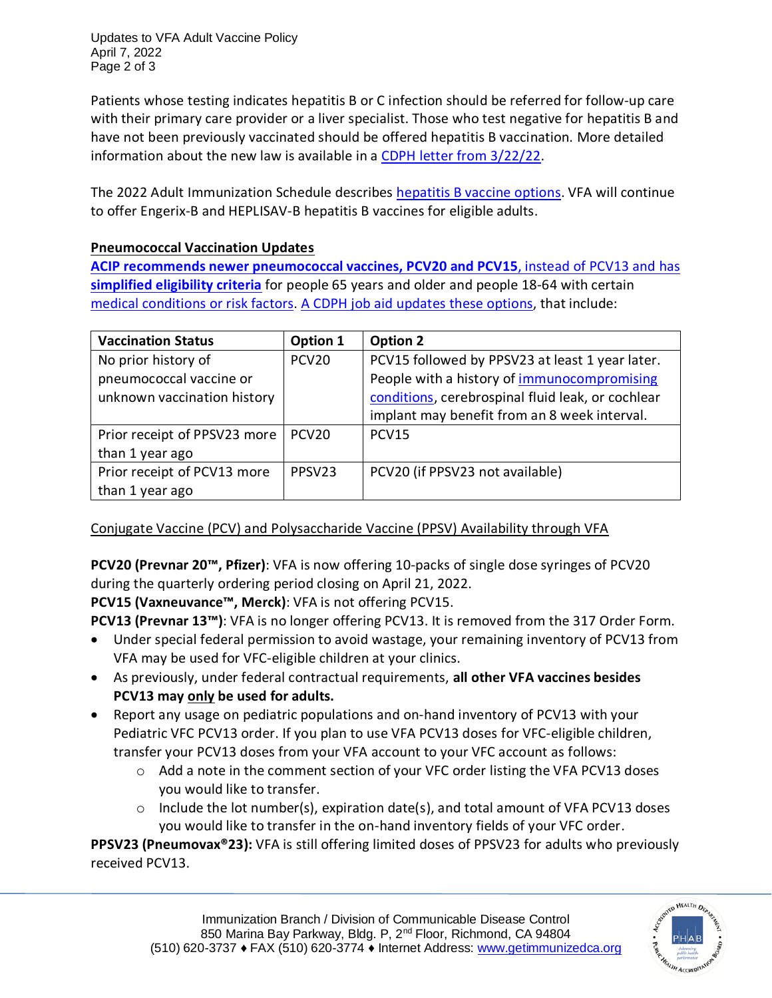Updates to VFA Adult Vaccine Policy April 7, 2022 Page 2 of 3

Patients whose testing indicates hepatitis B or C infection should be referred for follow-up care with their primary care provider or a liver specialist. Those who test negative for hepatitis B and have not been previously vaccinated should be offered hepatitis B vaccination. More detailed information about the new law is available in a CDPH letter from [3/22/22.](https://www.cdph.ca.gov/Programs/CID/DCDC/CDPH%20Document%20Library/AB789_Dear-Colleague-Letter.pdf)

The 2022 Adult Immunization Schedule describes [hepatitis](https://www.cdc.gov/vaccines/schedules/hcp/imz/adult.html#note-hepb) B vaccine options. VFA will continue to offer Engerix-B and HEPLISAV-B hepatitis B vaccines for eligible adults.

# **Pneumococcal Vaccination Updates**

**ACIP recommends newer [pneumococcal](https://www.cdc.gov/mmwr/volumes/71/wr/mm7104a1.htm) vaccines, PCV20 and PCV15**, instead of PCV13 and has **[simplified](https://www.cdc.gov/mmwr/volumes/71/wr/mm7104a1.htm) eligibility criteria** for people 65 years and older and people 18-64 with certain medical [conditions](https://www.cdc.gov/mmwr/volumes/71/wr/mm7104a1.htm#T1_down) or risk factors. A CDPH job aid [updates](https://eziz.org/assets/docs/IMM-1152.pdf) these options, that include:

| <b>Vaccination Status</b>    | Option 1           | <b>Option 2</b>                                   |
|------------------------------|--------------------|---------------------------------------------------|
| No prior history of          | PCV <sub>20</sub>  | PCV15 followed by PPSV23 at least 1 year later.   |
| pneumococcal vaccine or      |                    | People with a history of immunocompromising       |
| unknown vaccination history  |                    | conditions, cerebrospinal fluid leak, or cochlear |
|                              |                    | implant may benefit from an 8 week interval.      |
| Prior receipt of PPSV23 more | PCV <sub>20</sub>  | PCV15                                             |
| than 1 year ago              |                    |                                                   |
| Prior receipt of PCV13 more  | PPSV <sub>23</sub> | PCV20 (if PPSV23 not available)                   |
| than 1 year ago              |                    |                                                   |

Conjugate Vaccine (PCV) and Polysaccharide Vaccine (PPSV) Availability through VFA

**PCV20 (Prevnar 20™, Pfizer)**: VFA is now offering 10-packs of single dose syringes of PCV20 during the quarterly ordering period closing on April 21, 2022.

**PCV15 (Vaxneuvance™, Merck)**: VFA is not offering PCV15.

**PCV13 (Prevnar 13™)**: VFA is no longer offering PCV13. It is removed from the 317 Order Form.

- Under special federal permission to avoid wastage, your remaining inventory of PCV13 from VFA may be used for VFC-eligible children at your clinics.
- As previously, under federal contractual requirements, **all other VFA vaccines besides PCV13 may only be used for adults.**
- Report any usage on pediatric populations and on-hand inventory of PCV13 with your Pediatric VFC PCV13 order. If you plan to use VFA PCV13 doses for VFC-eligible children, transfer your PCV13 doses from your VFA account to your VFC account as follows:
	- $\circ$  Add a note in the comment section of your VFC order listing the VFA PCV13 doses you would like to transfer.
	- $\circ$  Include the lot number(s), expiration date(s), and total amount of VFA PCV13 doses you would like to transfer in the on-hand inventory fields of your VFC order.

**PPSV23 (Pneumovax®23):** VFA is still offering limited doses of PPSV23 for adults who previously received PCV13.